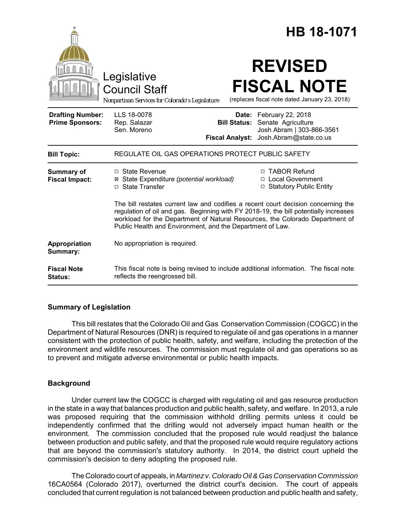|                                                   | Legislative<br><b>Council Staff</b>                                                                                                                                                                                                                                                                                    |  | HB 18-1071<br><b>REVISED</b><br><b>FISCAL NOTE</b>                                                                   |
|---------------------------------------------------|------------------------------------------------------------------------------------------------------------------------------------------------------------------------------------------------------------------------------------------------------------------------------------------------------------------------|--|----------------------------------------------------------------------------------------------------------------------|
|                                                   | Nonpartisan Services for Colorado's Legislature                                                                                                                                                                                                                                                                        |  | (replaces fiscal note dated January 23, 2018)                                                                        |
| <b>Drafting Number:</b><br><b>Prime Sponsors:</b> | LLS 18-0078<br>Rep. Salazar<br><b>Bill Status:</b><br>Sen. Moreno                                                                                                                                                                                                                                                      |  | Date: February 22, 2018<br>Senate Agriculture<br>Josh Abram   303-866-3561<br>Fiscal Analyst: Josh.Abram@state.co.us |
| <b>Bill Topic:</b>                                | REGULATE OIL GAS OPERATIONS PROTECT PUBLIC SAFETY                                                                                                                                                                                                                                                                      |  |                                                                                                                      |
| <b>Summary of</b><br><b>Fiscal Impact:</b>        | $\Box$ State Revenue<br>⊠ State Expenditure (potential workload)<br>□ State Transfer                                                                                                                                                                                                                                   |  | □ TABOR Refund<br>□ Local Government<br>□ Statutory Public Entity                                                    |
|                                                   | The bill restates current law and codifies a recent court decision concerning the<br>regulation of oil and gas. Beginning with FY 2018-19, the bill potentially increases<br>workload for the Department of Natural Resources, the Colorado Department of<br>Public Health and Environment, and the Department of Law. |  |                                                                                                                      |
| Appropriation<br>Summary:                         | No appropriation is required.                                                                                                                                                                                                                                                                                          |  |                                                                                                                      |
| <b>Fiscal Note</b><br>Status:                     | This fiscal note is being revised to include additional information. The fiscal note<br>reflects the reengrossed bill.                                                                                                                                                                                                 |  |                                                                                                                      |

# **Summary of Legislation**

This bill restates that the Colorado Oil and Gas Conservation Commission (COGCC) in the Department of Natural Resources (DNR) is required to regulate oil and gas operations in a manner consistent with the protection of public health, safety, and welfare, including the protection of the environment and wildlife resources. The commission must regulate oil and gas operations so as to prevent and mitigate adverse environmental or public health impacts.

# **Background**

Under current law the COGCC is charged with regulating oil and gas resource production in the state in a way that balances production and public health, safety, and welfare. In 2013, a rule was proposed requiring that the commission withhold drilling permits unless it could be independently confirmed that the drilling would not adversely impact human health or the environment. The commission concluded that the proposed rule would readjust the balance between production and public safety, and that the proposed rule would require regulatory actions that are beyond the commission's statutory authority. In 2014, the district court upheld the commission's decision to deny adopting the proposed rule.

The Colorado court of appeals, in *Martinez v. Colorado Oil & Gas Conservation Commission* 16CA0564 (Colorado 2017), overturned the district court's decision. The court of appeals concluded that current regulation is not balanced between production and public health and safety,